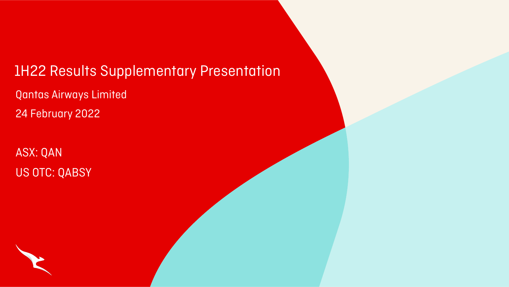# 1H22 Results Supplementary Presentation

Qantas Airways Limited 24 February 2022

ASX: QAN US OTC: QABSY



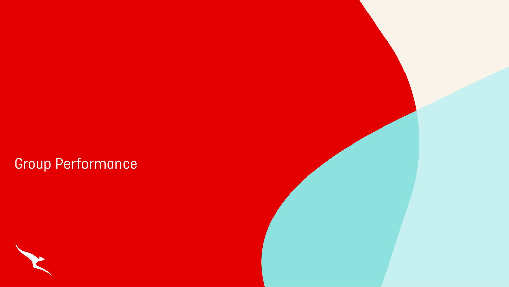# Group Performance



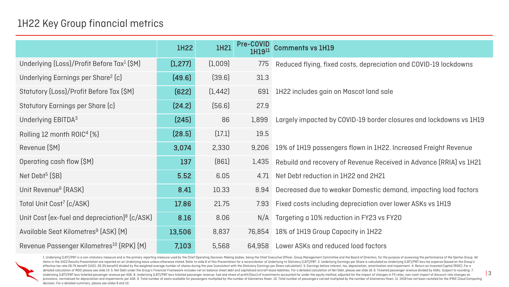1. Underlying (LBT)/PBT is a non-statutory measure and is the primary reporting measure used by the Chief Operating Decision-Making bodies, being the Chief Executive Officer, Group Management Committee and the Board of Dir items in the 1H22 Results Presentation are reported on an Underlying basis unless otherwise stated. Refer to slide 6 of this Presentation for a reconciliation of Underlying to Statutory (LBT)/PBT. 2. Underlying barings per effective tax rate 26.7% benefit (1H21: 26.3% benefit) divided by the weighted average number of shares during the year (consistent with the Statutory Earnings per Share calculation). 3. Earnings before interest, tax, depr detailed calculation of ROIC please see slide 14. 5. Net Debt under the Group's Financial Framework includes net on balance sheet debt and capitalised aircraft lease liabilities. For a detailed calculation of Net Debt, ple Underlying (LBT)/PBT less ticketed passenger revenue per ASK. 8. Underlying (LBT)/PBT less ticketed passenger revenue, fuel and share of profit/(loss) of investments accounted for under the equity method, adjusted for the provisions, normalised for depreciation and impairments per ASK. 9. Total number of seats available for passengers multiplied by the number of kilometres flown. 10. Total number of passengers carried multiplied by the numb decision. For a detailed summary, please see slides 9 and 10.

### s, depreciation and COVID-19 lockdowns

0-19 border closures and lockdowns vs 1H19

own in 1H22. Increased Freight Revenue

evenue Received in Advance (RRIA) vs 1H21

Domestic demand, impacting load factors

eciation over lower ASKs vs 1H19

## 1H22 Key Group financial metrics

|                                                        | <b>IH22</b> | <b>1H21</b> | Pre-COVID<br><b>1H1911</b> | <b>Comments vs 1H19</b>                       |
|--------------------------------------------------------|-------------|-------------|----------------------------|-----------------------------------------------|
| Underlying (Loss)/Profit Before Tax <sup>1</sup> (\$M) | (1, 277)    | (1,009)     | 775                        | Reduced flying, fixed costs, depreciation of  |
| Underlying Earnings per Share <sup>2</sup> (c)         | (49.6)      | (39.6)      | 31.3                       |                                               |
| Statutory (Loss)/Profit Before Tax (\$M)               | [622]       | (1, 442)    | 691                        | 1H22 includes gain on Mascot land sale        |
| <b>Statutory Earnings per Share (c)</b>                | [24.2]      | [56.6]      | 27.9                       |                                               |
| Underlying EBITDA <sup>3</sup>                         | [245]       | 86          | 1,899                      | Largely impacted by COVID-19 border close     |
| Rolling 12 month ROIC <sup>4</sup> [%]                 | (28.5)      | (17.1)      | 19.5                       |                                               |
| Revenue (\$M)                                          | 3,074       | 2,330       | 9,206                      | 19% of 1H19 passengers flown in 1H22. Inc     |
| Operating cash flow (\$M)                              | 137         | [861]       | 1,435                      | Rebuild and recovery of Revenue Received      |
| Net Debt <sup>5</sup> $(SB)$                           | 5.52        | 6.05        | 4.71                       | Net Debt reduction in 1H22 and 2H21           |
| Unit Revenue <sup>6</sup> (RASK)                       | 8.41        | 10.33       | 8.94                       | Decreased due to weaker Domestic demar        |
| Total Unit Cost <sup>7</sup> (c/ASK)                   | 17.86       | 21.75       | 7.93                       | Fixed costs including depreciation over lov   |
| Unit Cost (ex-fuel and depreciation) $8$ (c/ASK)       | 8.16        | 8.06        |                            | N/A Targeting a 10% reduction in FY23 vs FY20 |
| Available Seat Kilometres <sup>9</sup> (ASK) (M)       | 13,506      | 8,837       | 76,854                     | 18% of 1H19 Group Capacity in 1H22            |
| Revenue Passenger Kilometres <sup>10</sup> (RPK) (M)   | 7,103       | 5,568       | 64,958                     | Lower ASKs and reduced load factors           |

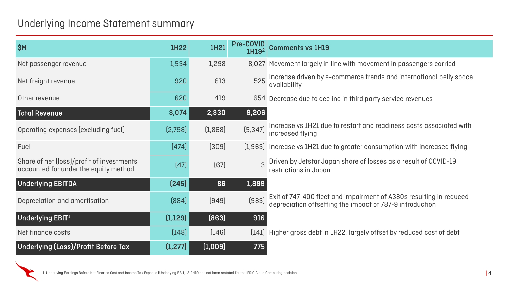## Underlying Income Statement summary

| \$M                                                                                | 1H22     | 1H21    |          | Pre-COVID Comments vs 1H19                                                                                                  |
|------------------------------------------------------------------------------------|----------|---------|----------|-----------------------------------------------------------------------------------------------------------------------------|
| Net passenger revenue                                                              | 1,534    | 1,298   |          | 8,027 Movement largely in line with movement in passengers carried                                                          |
| Net freight revenue                                                                | 920      | 613     | 525      | Increase driven by e-commerce trends and international belly s<br>  availability                                            |
| Other revenue                                                                      | 620      | 419     | 654      | Decrease due to decline in third party service revenues                                                                     |
| Total Revenue                                                                      | 3,074    | 2,330   | 9,206    |                                                                                                                             |
| Operating expenses (excluding fuel)                                                | [2,798]  | (1,868) | (5, 347) | Increase vs 1H21 due to restart and readiness costs associated<br>increased flying                                          |
| Fuel                                                                               | (474)    | (309)   |          | [1,963] Increase vs 1H21 due to greater consumption with increased fly                                                      |
| Share of net (loss)/profit of investments<br>accounted for under the equity method | (47)     | [67]    |          | 3 Driven by Jetstar Japan share of losses as a result of COVID-19<br>restrictions in Japan                                  |
| <b>Underlying EBITDA</b>                                                           | (245)    | 86      | 1,899    |                                                                                                                             |
| Depreciation and amortisation                                                      | [884]    | [949]   | (983)    | Exit of 747-400 fleet and impairment of A380s resulting in redu<br>depreciation offsetting the impact of 787-9 introduction |
| Underlying EBIT1                                                                   | (1,129)  | [863]   | 916      |                                                                                                                             |
| Net finance costs                                                                  | [148]    | [146]   |          | [141] Higher gross debt in 1H22, largely offset by reduced cost of deb                                                      |
| <b>Underlying (Loss)/Profit Before Tax</b>                                         | (1, 277) | (1,009) | 775      |                                                                                                                             |



- movement in passengers carried rce trends and international belly space
- ird party service revenues
- Irt and readiness costs associated with
- fer consumption with increased flying
- 
- dirment of A380s resulting in reduced npact of 787-9 introduction
- rgely offset by reduced cost of debt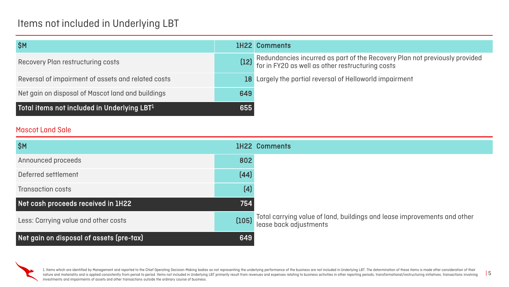## Items not included in Underlying LBT

| <b>SM</b>                                          |     | <b>1H22 Comments</b>                                                         |
|----------------------------------------------------|-----|------------------------------------------------------------------------------|
| Recovery Plan restructuring costs                  |     | (12) Redundancies incurred as part of<br>for in FY20 as well as other restru |
| Reversal of impairment of assets and related costs |     | 18 Largely the partial reversal of Hell                                      |
| Net gain on disposal of Mascot land and buildings  | 649 |                                                                              |
| Total items not included in Underlying LBT1        | 655 |                                                                              |

1. Items which are identified by Management and reported to the Chief Operating Decision-Making bodies as not representing the underlying performance of the business are not included in Underlying LBT. The determination of nature and materiality and is applied consistently from period to period. Items not included in Underlying LBT primarily result from revenues and expenses relating to business activities in other reporting periods, transfo investments and impairments of assets and other transactions outside the ordinary course of business.

 $F$ the Recovery Plan not previously provided icturing costs

loworld impairment

### lings and lease improvements and other

| <b>SM</b>                                |                   | <b>1H22 Comments</b>                                          |
|------------------------------------------|-------------------|---------------------------------------------------------------|
| Announced proceeds                       | 802               |                                                               |
| Deferred settlement                      | (44)              |                                                               |
| <b>Transaction costs</b>                 | $\left( 4\right)$ |                                                               |
| Net cash proceeds received in 1H22       | 754               |                                                               |
| Less: Carrying value and other costs     | (105)             | Total carrying value of land, build<br>lease back adjustments |
| Net gain on disposal of assets (pre-tax) | 649               |                                                               |



### Mascot Land Sale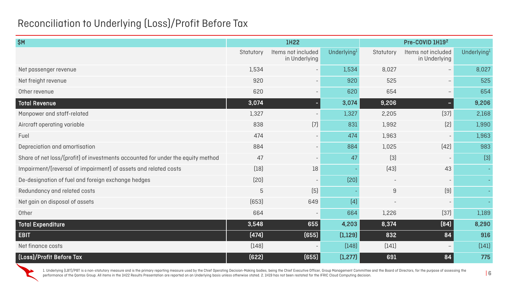## Reconciliation to Underlying (Loss)/Profit Before Tax

| \$M                                                                             | <b>1H22</b> |                                     |                | Pre-COVID 1H192   |                                     |                         |
|---------------------------------------------------------------------------------|-------------|-------------------------------------|----------------|-------------------|-------------------------------------|-------------------------|
|                                                                                 | Statutory   | Items not included<br>in Underlying | Underlying $1$ | Statutory         | Items not included<br>in Underlying | Underlying <sup>1</sup> |
| Net passenger revenue                                                           | 1,534       | $\overline{\phantom{a}}$            | 1,534          | 8,027             | $\qquad \qquad -$                   | 8,027                   |
| Net freight revenue                                                             | 920         | $\overline{\phantom{a}}$            | 920            | 525               | $\qquad \qquad -$                   | 525                     |
| Other revenue                                                                   | 620         | $-$                                 | 620            | 654               | $\qquad \qquad -$                   | 654                     |
| <b>Total Revenue</b>                                                            | 3,074       |                                     | 3,074          | 9,206             |                                     | 9,206                   |
| Manpower and staff-related                                                      | 1,327       |                                     | 1,327          | 2,205             | (37)                                | 2,168                   |
| Aircraft operating variable                                                     | 838         | $\left( 7\right)$                   | 831            | 1,992             | [2]                                 | 1,990                   |
| Fuel                                                                            | 474         | $\sim$                              | 474            | 1,963             | $\overline{\phantom{a}}$            | 1,963                   |
| Depreciation and amortisation                                                   | 884         | $\qquad \qquad -$                   | 884            | 1,025             | (42)                                | 983                     |
| Share of net loss/(profit) of investments accounted for under the equity method | 47          | $\overline{\phantom{a}}$            | 47             | $[3]$             | $\overline{\phantom{a}}$            | $[3]$                   |
| Impairment/(reversal of impairment) of assets and related costs                 | $[18]$      | 18                                  |                | $[43]$            | 43                                  |                         |
| De-designation of fuel and foreign exchange hedges                              | (20)        | $\overline{\phantom{a}}$            | [20]           | $\qquad \qquad -$ | $\overline{\phantom{a}}$            |                         |
| Redundancy and related costs                                                    | 5           | $[5]$                               |                | 9                 | (9)                                 |                         |
| Net gain on disposal of assets                                                  | (653)       | 649                                 | (4)            |                   | $\overline{\phantom{a}}$            |                         |
| Other                                                                           | 664         |                                     | 664            | 1,226             | (37)                                | 1,189                   |
| <b>Total Expenditure</b>                                                        | 3,548       | 655                                 | 4,203          | 8,374             | [84]                                | 8,290                   |
| <b>EBIT</b>                                                                     | (474)       | (655)                               | (1, 129)       | 832               | 84                                  | 916                     |
| Net finance costs                                                               | [148]       | $\overline{\phantom{a}}$            | [148]          | (141)             | $\overline{\phantom{0}}$            | (141)                   |
| (Loss)/Profit Before Tax                                                        | (622)       | (655)                               | (1, 277)       | 691               | 84                                  | 775                     |

1. Underlying (LBT)/PBT is a non-statutory measure and is the primary reporting measure used by the Chief Operating Decision-Making bodies, being the Chief Executive Officer, Group Management Committee and the Board of Dir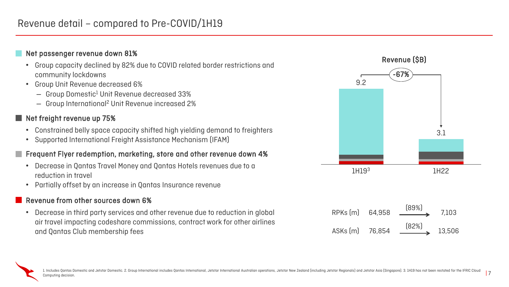## Revenue detail – compared to Pre-COVID/1H19

### Net passenger revenue down 81%

- Group capacity declined by 82% due to COVID related border restrictions and community lockdowns
- Group Unit Revenue decreased 6%
	- Group Domestic1 Unit Revenue decreased 33%
	- Group International2 Unit Revenue increased 2%

### Net freight revenue up 75%

- Constrained belly space capacity shifted high yielding demand to freighters
- Supported International Freight Assistance Mechanism (IFAM)

### Frequent Flyer redemption, marketing, store and other revenue down 4%

- Decrease in Qantas Travel Money and Qantas Hotels revenues due to a reduction in travel
- Partially offset by an increase in Qantas Insurance revenue

### Revenue from other sources down 6%

• Decrease in third party services and other revenue due to reduction in global air travel impacting codeshare commissions, contract work for other airlines and Qantas Club membership fees



ASKs (m) 76,854 (82%) 13,506

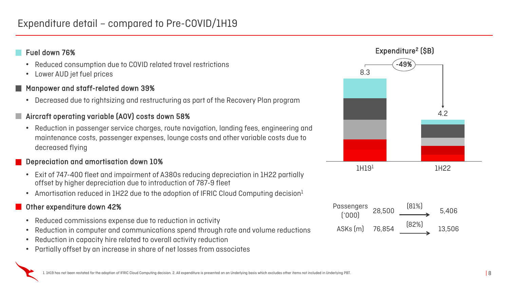- Reduced consumption due to COVID related travel restrictions
- Lower AUD jet fuel prices

### Fuel down 76%

## Manpower and staff-related down 39%

- Exit of 747-400 fleet and impairment of A380s reducing depreciation in 1H22 partially offset by higher depreciation due to introduction of 787-9 fleet
- Amortisation reduced in 1H22 due to the adoption of IFRIC Cloud Computing decision $1$

• Decreased due to rightsizing and restructuring as part of the Recovery Plan program

## Aircraft operating variable (AOV) costs down 58%

• Reduction in passenger service charges, route navigation, landing fees, engineering and maintenance costs, passenger expenses, lounge costs and other variable costs due to decreased flying

## Depreciation and amortisation down 10%

### Other expenditure down 42%

- Reduced commissions expense due to reduction in activity
- Reduction in computer and communications spend through rate and volume reductions
- Reduction in capacity hire related to overall activity reduction
- Partially offset by an increase in share of net losses from associates

Passengers



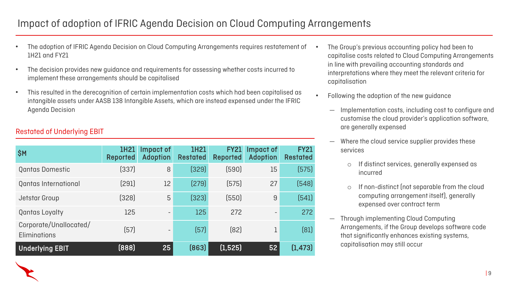## Impact of adoption of IFRIC Agenda Decision on Cloud Computing Arrangements

• The Group's previous accounting policy had been to capitalise costs related to Cloud Computing Arrangements in line with prevailing accounting standards and interpretations where they meet the relevant criteria for

• Following the adoption of the new guidance

If non-distinct (not separable from the cloud computing arrangement itself), generally expensed over contract term

- capitalisation
- -
	- services
		-

— Implementation costs, including cost to configure and customise the cloud provider's application software, are generally expensed

— Where the cloud service supplier provides these

o If distinct services, generally expensed as incurred

— Through implementing Cloud Computing Arrangements, if the Group develops software code that significantly enhances existing systems, capitalisation may still occur

- The adoption of IFRIC Agenda Decision on Cloud Computing Arrangements requires restatement of 1H21 and FY21
- The decision provides new guidance and requirements for assessing whether costs incurred to implement these arrangements should be capitalised
- This resulted in the derecognition of certain implementation costs which had been capitalised as intangible assets under AASB 138 Intangible Assets, which are instead expensed under the IFRIC Agenda Decision

| \$M                                           | 1H21<br><b>Reported</b> | Impact of<br><b>Adoption</b> | <b>1H21</b><br><b>Restated</b> | <b>FY21</b><br><b>Reported</b> | Impact of<br><b>Adoption</b> | <b>FY21</b><br><b>Restated</b> |
|-----------------------------------------------|-------------------------|------------------------------|--------------------------------|--------------------------------|------------------------------|--------------------------------|
| <b>Qantas Domestic</b>                        | (337)                   | 8                            | (329)                          | (590)                          | 15                           | (575)                          |
| Qantas International                          | (291)                   | 12                           | [279]                          | [575]                          | 27                           | (548)                          |
| Jetstar Group                                 | (328)                   | 5                            | (323)                          | (550)                          | 9                            | (541)                          |
| <b>Qantas Loyalty</b>                         | 125                     | $\equiv$                     | 125                            | 272                            | $\sim$                       | 272                            |
| Corporate/Unallocated/<br><b>Eliminations</b> | (57)                    | $\equiv$                     | $[57]$                         | [82]                           | 1                            | [81]                           |
| <b>Underlying EBIT</b>                        | [888]                   | 25                           | [863]                          | (1, 525)                       | 52                           | (1, 473)                       |

### Restated of Underlying EBIT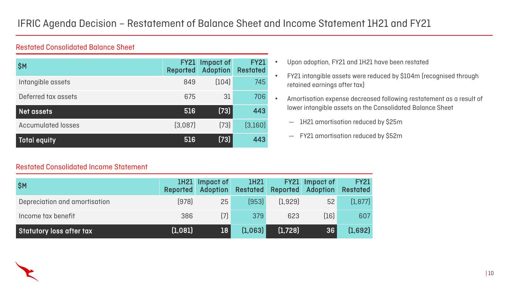## IFRIC Agenda Decision – Restatement of Balance Sheet and Income Statement 1H21 and FY21

| <b>SM</b>                 | <b>Reported</b> | <b>FY21</b> Impact of<br><b>Adoption</b> | <b>FY21</b><br><b>Restated</b> |
|---------------------------|-----------------|------------------------------------------|--------------------------------|
| Intangible assets         | 849             | (104)                                    | 745                            |
| Deferred tax assets       | 675             | 31                                       | 706                            |
| Net assets                | 516             | $[73]$                                   | 443                            |
| <b>Accumulated losses</b> | (3,087)         | $[73]$                                   | (3,160)                        |
| Total equity              | 516             | $[73]$                                   | 443                            |

### • Upon adoption, FY21 and 1H21 have been restated

- FY21 intangible assets were reduced by \$104m (recognised through retained earnings after tax)
- Amortisation expense decreased following restatement as a result of lower intangible assets on the Consolidated Balance Sheet
	- 1H21 amortisation reduced by \$25m
	- FY21 amortisation reduced by \$52m



| SM                            | Reported | <b>IH21</b> Impact of<br><b>Adoption</b> | 1H21    |         | <b>FY21</b> Impact of<br>Restated Reported Adoption | <b>FY21</b><br><b>Restated</b> |
|-------------------------------|----------|------------------------------------------|---------|---------|-----------------------------------------------------|--------------------------------|
| Depreciation and amortisation | (978)    | 25                                       | (953)   | [1.929] | 52                                                  | (1, 877)                       |
| Income tax benefit            | 386      | $[7]$                                    | 379     | 623     | (16)                                                | 607                            |
| Statutory loss after tax      | (1,081)  | 18                                       | [1,063] | (1,728) | 36                                                  | (1,692)                        |



### Restated Consolidated Balance Sheet

### Restated Consolidated Income Statement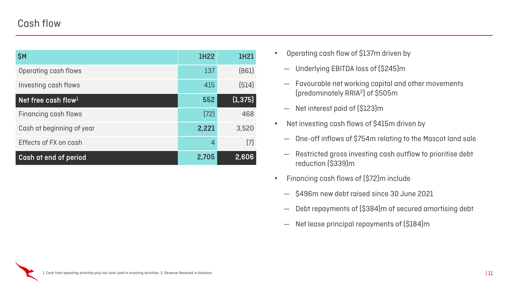## Cash flow

| \$M                             | <b>1H22</b>    | <b>1H21</b>       |
|---------------------------------|----------------|-------------------|
| Operating cash flows            | 137            | (861)             |
| Investing cash flows            | 415            | (514)             |
| Net free cash flow <sup>1</sup> | 552            | (1, 375)          |
| Financing cash flows            | [72]           | 468               |
| Cash at beginning of year       | 2,221          | 3,520             |
| Effects of FX on cash           | $\overline{4}$ | $\left( 7\right)$ |
| Cash at end of period           | 2,705          | 2,606             |

- Operating cash flow of \$137m driven by
	- Underlying EBITDA loss of (\$245)m
	- Favourable net working capital and other movements (predominately RRIA2) of \$505m
	- Net interest paid of (\$123)m
- Net investing cash flows of \$415m driven by
	- One-off inflows of \$754m relating to the Mascot land sale
	- Restricted gross investing cash outflow to prioritise debt reduction (\$339)m
- Financing cash flows of (\$72)m include
	- \$496m new debt raised since 30 June 2021
	- Debt repayments of (\$384)m of secured amortising debt
	- Net lease principal repayments of (\$184)m

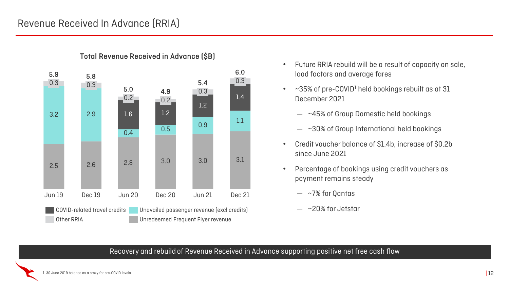## Revenue Received In Advance (RRIA)



• Future RRIA rebuild will be a result of capacity on sale,

# load factors and average fares

- $\bullet$  ~35% of pre-COVID<sup>1</sup> held bookings rebuilt as at 31 December 2021
	- ~45% of Group Domestic held bookings
	- ~30% of Group International held bookings
- Credit voucher balance of \$1.4b, increase of \$0.2b since June 2021
- Percentage of bookings using credit vouchers as payment remains steady
	- ~7% for Qantas
	- ~20% for Jetstar

Recovery and rebuild of Revenue Received in Advance supporting positive net free cash flow

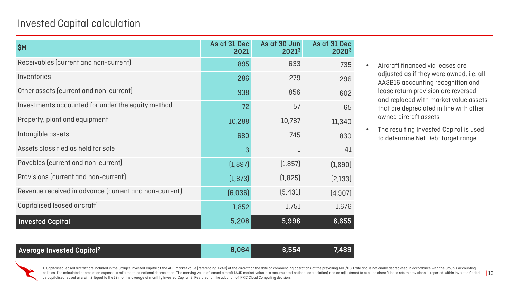policies. The calculated depreciation expense is referred to as notional depreciation. The carrying value of leased aircraft (AUD market value less accumulated notional depreciation) and an adjustment to exclude aircraft 1. Capitalised leased aircraft are included in the Group's Invested Capital at the AUD market value (referencing AVAC) of the aircraft at the date of commencing operations at the prevailing AUD/USD rate and is notionally d as capitalised leased aircraft. 2. Equal to the 12 months average of monthly Invested Capital. 3. Restated for the adoption of IFRIC Cloud Computing decision.

## Invested Capital calculation

| \$M\$                                                 | As at 31 Dec<br>2021 | As at 30 Jun<br>2021 <sup>3</sup> | As at 31 Dec<br><b>2020<sup>3</sup></b> |
|-------------------------------------------------------|----------------------|-----------------------------------|-----------------------------------------|
| Receivables (current and non-current)                 | 895                  | 633                               | 735                                     |
| Inventories                                           | 286                  | 279                               | 296                                     |
| Other assets (current and non-current)                | 938                  | 856                               | 602                                     |
| Investments accounted for under the equity method     | 72                   | 57                                | 65                                      |
| Property, plant and equipment                         | 10,288               | 10,787                            | 11,340                                  |
| Intangible assets                                     | 680                  | 745                               | 830                                     |
| Assets classified as held for sale                    | 3                    | 1                                 | 41                                      |
| Payables (current and non-current)                    | (1,897)              | (1, 857)                          | (1,890)                                 |
| Provisions (current and non-current)                  | (1, 873)             | (1, 825)                          | [2,133]                                 |
| Revenue received in advance (current and non-current) | [6,036]              | (5, 431)                          | (4, 907)                                |
| Capitalised leased aircraft <sup>1</sup>              | 1,852                | 1,751                             | 1,676                                   |
| <b>Invested Capital</b>                               | 5,208                | 5,996                             | 6,655                                   |



- Aircraft financed via leases are adjusted as if they were owned, i.e. all AASB16 accounting recognition and lease return provision are reversed and replaced with market value assets that are depreciated in line with other owned aircraft assets
- The resulting Invested Capital is used to determine Net Debt target range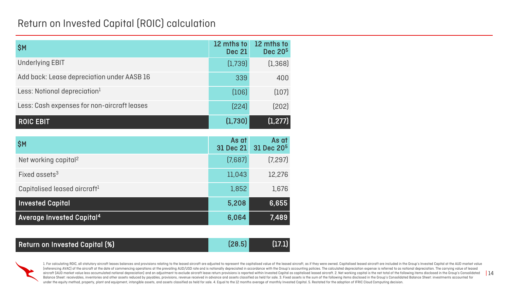## Return on Invested Capital (ROIC) calculation

| \$M                                         | 12 mths to<br><b>Dec 21</b> | 12 mths to<br>Dec 20 <sup>5</sup> |
|---------------------------------------------|-----------------------------|-----------------------------------|
| <b>Underlying EBIT</b>                      | (1,739)                     | (1, 368)                          |
| Add back: Lease depreciation under AASB 16  | 339                         | 400                               |
| Less: Notional depreciation <sup>1</sup>    | (106)                       | (107)                             |
| Less: Cash expenses for non-aircraft leases | [224]                       | (202)                             |
| <b>ROIC EBIT</b>                            | (1,730)                     | (1, 277)                          |
|                                             |                             |                                   |
| <b>SM</b>                                   | As at<br><b>31 Dec 21</b>   | As at<br>31 Dec 20 <sup>5</sup>   |
| Net working capital <sup>2</sup>            | (7,687)                     | (7, 297)                          |
| Fixed assets <sup>3</sup>                   | 11,043                      | 12,276                            |
| Capitalised leased aircraft <sup>1</sup>    | 1,852                       | 1,676                             |
| <b>Invested Capital</b>                     | 5,208                       | 6,655                             |
| <b>Average Invested Capital<sup>4</sup></b> | 6,064                       | 7,489                             |

| Return on Invested Capital (%) | (28.5) | (17.1) |
|--------------------------------|--------|--------|
|--------------------------------|--------|--------|



aircraft (AUD market value less accumulated notional depreciation) and an adjustment to exclude aircraft lease return provisions is reported within Invested Capital as capitalised leased aircraft. 2. Net working capital is 1. For calculating ROIC, all statutory aircraft leases balances and provisions relating to the leased aircraft are adjusted to represent the capitalised value of the leased aircraft, as if they were owned. Capitalised leas [referencing AVAC] of the aircraft at the date of commencing operations at the prevailing AUD/USD rate and is notionally depreciated in accordance with the Group's accounting policies. The calculated depreciation expense i Balance Sheet: receivables, inventories and other assets reduced by payables, provisions, revenue received in advance and assets classified as held for sale. 3. Fixed assets is the sum of the following items disclosed in t under the equity method, property, plant and equipment, intangible assets, and assets classified as held for sale. 4. Equal to the 12 months average of monthly Invested Capital. 5. Restated for the adoption of IFRIC Cloud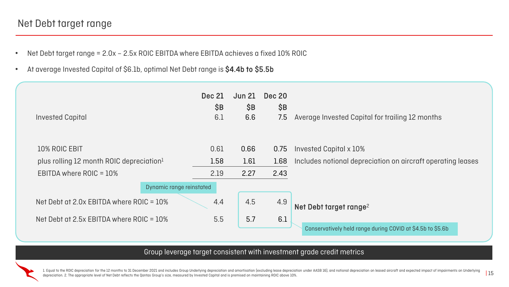1. Equal to the ROIC depreciation for the 12 months to 31 December 2021 and includes Group Underlying depreciation and amortisation (excluding lease depreciation under AASB 16), and notional depreciation on leased aircraft depreciation. 2. The appropriate level of Net Debt reflects the Qantas Group's size, measured by Invested Capital and is premised on maintaining ROIC above 10%.

## apital for trailing 12 months

preciation on aircraft operating leases

range during COVID at \$4.5b to \$5.6b

- Net Debt target range = 2.0x 2.5x ROIC EBITDA where EBITDA achieves a fixed 10% ROIC
- At average Invested Capital of \$6.1b, optimal Net Debt range is \$4.4b to \$5.5b

## Net Debt target range

### Group leverage target consistent with investment grade credit metrics

|                                    | <b>Dec 20</b><br>\$B | <b>Jun 21</b><br>\$B | <b>Dec 21</b><br>\$B     |                                                      |
|------------------------------------|----------------------|----------------------|--------------------------|------------------------------------------------------|
| <b>Average Invested Capita</b>     | 7.5                  | 6.6                  | 6.1                      | <b>Invested Capital</b>                              |
|                                    |                      |                      |                          |                                                      |
| Invested Capital x 10%             | 0.75                 | 0.66                 | 0.61                     | 10% ROIC EBIT                                        |
| Includes notional depre            | 1.68                 | 1.61                 | 1.58                     | plus rolling 12 month ROIC depreciation <sup>1</sup> |
|                                    | 2.43                 | 2.27                 | 2.19                     | EBITDA where $ROIC = 10\%$                           |
|                                    |                      |                      | Dynamic range reinstated |                                                      |
| Net Debt target range <sup>2</sup> | 4.9                  | 4.5                  | 4.4                      | Net Debt at 2.0x EBITDA where ROIC = $10\%$          |
|                                    | 6.1                  | 5.7                  | 5.5                      | Net Debt at 2.5x EBITDA where ROIC = $10\%$          |
| <b>Conservatively held range</b>   |                      |                      |                          |                                                      |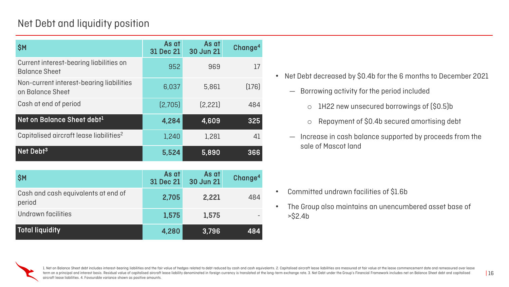## Net Debt and liquidity position

- Net Debt decreased by \$0.4b for the 6 months to December 2021
	- Borrowing activity for the period included
		- o 1H22 new unsecured borrowings of (\$0.5)b
		- o Repayment of \$0.4b secured amortising debt
	- Increase in cash balance supported by proceeds from the sale of Mascot land

- Committed undrawn facilities of \$1.6b
- The Group also maintains an unencumbered asset base of >\$2.4b



1. Net on Balance Sheet debt includes interest-bearing liabilities and the fair value of hedges related to debt reduced by cash and cash equivalents. 2. Capitalised aircraft lease liabilities are measured at fair value at term on a principal and interest basis. Residual value of capitalised aircraft lease liability denominated in foreign currency is translated at the long-term exchange rate. 3. Net Debt under the Group's Financial Framework aircraft lease liabilities. 4. Favourable variance shown as positive amounts.

| \$M                                                             | As at<br><b>31 Dec 21</b> | As at<br><b>30 Jun 21</b> | Change <sup>4</sup> |
|-----------------------------------------------------------------|---------------------------|---------------------------|---------------------|
| Current interest-bearing liabilities on<br><b>Balance Sheet</b> | 952                       | 969                       | 17                  |
| Non-current interest-bearing liabilities<br>on Balance Sheet    | 6,037                     | 5,861                     | (176)               |
| Cash at end of period                                           | [2,705]                   | [2, 221]                  | 484                 |
| Net on Balance Sheet debt <sup>1</sup>                          | 4,284                     | 4,609                     | 325                 |
| Capitalised aircraft lease liabilities <sup>2</sup>             | 1,240                     | 1,281                     | 41                  |
| Net Debt <sup>3</sup>                                           | 5,524                     | 5,890                     | 366                 |
|                                                                 |                           |                           |                     |
| \$M                                                             | As at<br><b>31 Dec 21</b> | As at<br><b>30 Jun 21</b> | Change <sup>4</sup> |
| Cash and cash equivalents at end of<br>period                   | 2,705                     | 2,221                     | 484                 |
| Undrawn facilities                                              | 1,575                     | 1,575                     |                     |
| <b>Total liquidity</b>                                          | 4,280                     | 3,796                     | 484                 |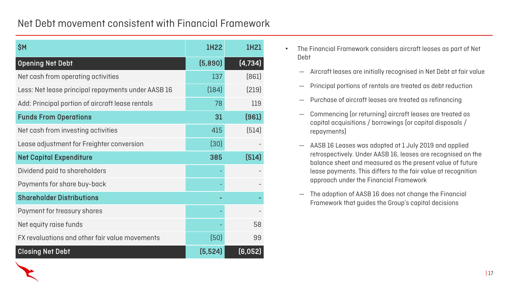## Net Debt movement consistent with Financial Framework

| \$M                                                | <b>1H22</b> | 1H21     |
|----------------------------------------------------|-------------|----------|
| <b>Opening Net Debt</b>                            | (5,890)     | (4, 734) |
| Net cash from operating activities                 | 137         | (861)    |
| Less: Net lease principal repayments under AASB 16 | (184)       | (219)    |
| Add: Principal portion of aircraft lease rentals   | 78          | 119      |
| <b>Funds From Operations</b>                       | 31          | (961)    |
| Net cash from investing activities                 | 415         | (514)    |
| Lease adjustment for Freighter conversion          | $[30]$      |          |
| <b>Net Capital Expenditure</b>                     | 385         | (514)    |
| Dividend paid to shareholders                      |             |          |
| Payments for share buy-back                        |             |          |
| <b>Shareholder Distributions</b>                   |             |          |
| Payment for treasury shares                        |             |          |
| Net equity raise funds                             |             | 58       |
| FX revaluations and other fair value movements     | (50)        | 99       |
| <b>Closing Net Debt</b>                            | (5, 524)    | (6,052)  |

• The Financial Framework considers aircraft leases as part of Net

- Debt
	- Aircraft leases are initially recognised in Net Debt at fair value
	- Principal portions of rentals are treated as debt reduction
	- Purchase of aircraft leases are treated as refinancing
	- Commencing (or returning) aircraft leases are treated as capital acquisitions / borrowings (or capital disposals / repayments)
	-
	- The adoption of AASB 16 does not change the Financial Framework that guides the Group's capital decisions



— AASB 16 Leases was adopted at 1 July 2019 and applied retrospectively. Under AASB 16, leases are recognised on the balance sheet and measured as the present value of future lease payments. This differs to the fair value at recognition approach under the Financial Framework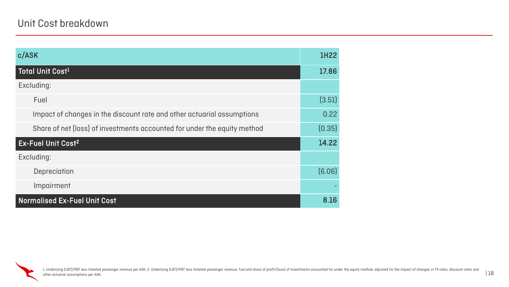| c/ASK                                                                    | <b>1H22</b> |
|--------------------------------------------------------------------------|-------------|
| Total Unit Cost <sup>1</sup>                                             | 17.86       |
| Excluding:                                                               |             |
| Fuel                                                                     | (3.51)      |
| Impact of changes in the discount rate and other actuarial assumptions   | 0.22        |
| Share of net (loss) of investments accounted for under the equity method | [0.35]      |
| <b>Ex-Fuel Unit Cost<sup>2</sup></b>                                     | 14.22       |
| Excluding:                                                               |             |
| Depreciation                                                             | [6.06]      |
| Impairment                                                               |             |
| <b>Normalised Ex-Fuel Unit Cost</b>                                      | 8.16        |

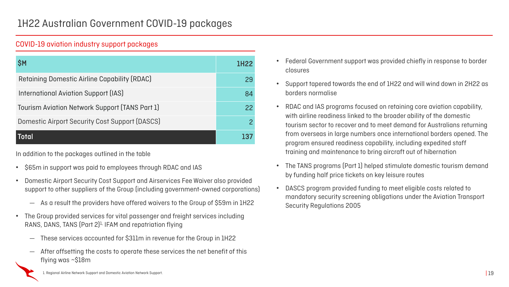

In addition to the packages outlined in the table

- \$65m in support was paid to employees through RDAC and IAS
- Domestic Airport Security Cost Support and Airservices Fee Waiver also provided support to other suppliers of the Group (including government-owned corporations)
	- As a result the providers have offered waivers to the Group of \$59m in 1H22
- The Group provided services for vital passenger and freight services including RANS, DANS, TANS (Part 2)<sup>1,</sup> IFAM and repatriation flying
	- These services accounted for \$311m in revenue for the Group in 1H22
	- After offsetting the costs to operate these services the net benefit of this flying was ~\$18m

### COVID-19 aviation industry support packages

| <b>SM</b>                                             | 1H22 |
|-------------------------------------------------------|------|
| <b>Retaining Domestic Airline Capability (RDAC)</b>   | 29   |
| International Aviation Support (IAS)                  | 84   |
| Tourism Aviation Network Support (TANS Part 1)        | 22   |
| <b>Domestic Airport Security Cost Support (DASCS)</b> |      |
| Total                                                 |      |

• Federal Government support was provided chiefly in response to border



• Support tapered towards the end of 1H22 and will wind down in 2H22 as

• RDAC and IAS programs focused on retaining core aviation capability, with airline readiness linked to the broader ability of the domestic tourism sector to recover and to meet demand for Australians returning from overseas in large numbers once international borders opened. The program ensured readiness capability, including expedited staff training and maintenance to bring aircraft out of hibernation

- borders normalise
- 
- by funding half price tickets on key leisure routes
- Security Regulations 2005

• The TANS programs (Part 1) helped stimulate domestic tourism demand

• DASCS program provided funding to meet eligible costs related to mandatory security screening obligations under the Aviation Transport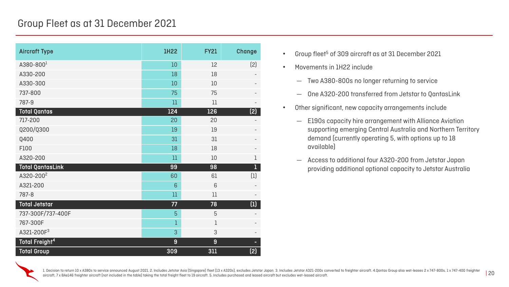## Group Fleet as at 31 December 2021

| <b>Aircraft Type</b>             | <b>1H22</b> | <b>FY21</b> | <b>Change</b>                                                          |
|----------------------------------|-------------|-------------|------------------------------------------------------------------------|
| $A380 - 8001$                    | 10          | 12          | [2]                                                                    |
| A330-200                         | 18          | 18          | $\overline{\phantom{a}}$                                               |
| A330-300                         | 10          | 10          | $\overline{\phantom{a}}$                                               |
| 737-800                          | 75          | 75          |                                                                        |
| 787-9                            | 11          | 11          |                                                                        |
| <b>Total Qantas</b>              | 124         | 126         | (2)                                                                    |
| 717-200                          | 20          | 20          |                                                                        |
| Q200/Q300                        | 19          | 19          |                                                                        |
| Q400                             | 31          | 31          |                                                                        |
| F100                             | 18          | 18          |                                                                        |
| A320-200                         | 11          | 10          | $\mathbf 1$                                                            |
| <b>Total QantasLink</b>          | 99          | 98          | 1                                                                      |
| A320-200 <sup>2</sup>            | 60          | 61          | $\left(1\right)$                                                       |
| A321-200                         | 6           | 6           | $\overline{\phantom{a}}$                                               |
| 787-8                            | 11          | 11          |                                                                        |
| <b>Total Jetstar</b>             | 77          | 78          | $\begin{array}{c} \begin{array}{c} \text{(1)} \end{array} \end{array}$ |
| 737-300F/737-400F                | 5           | 5           |                                                                        |
| 767-300F                         |             |             |                                                                        |
| A321-200F <sup>3</sup>           | 3           | 3           |                                                                        |
| <b>Total Freight<sup>4</sup></b> | 9           | 9           |                                                                        |
| <b>Total Group</b>               | 309         | 311         | (2)                                                                    |

- Group fleet<sup>5</sup> of 309 aircraft as at 31 December 2021
- Movements in 1H22 include
	- Two A380-800s no longer returning to service
	- One A320-200 transferred from Jetstar to QantasLink
- Other significant, new capacity arrangements include
	- E190s capacity hire arrangement with Alliance Aviation supporting emerging Central Australia and Northern Territory demand (currently operating 5, with options up to 18 available)
	- Access to additional four A320-200 from Jetstar Japan providing additional optional capacity to Jetstar Australia



1. Decision to return 10 x A380s to service announced August 2021. 2. Includes Jetstar Asia (Singapore) fleet [13 x A320s), excludes Jetstar Japan. 3. Includes Jetstar A321-200s converted to freighter aircraft. 4.Qantas Gr aircraft, 7 x BAe146 freighter aircraft (not included in the table) taking the total freight fleet to 19 aircraft. 5. Includes purchased and leased aircraft but excludes wet-leased aircraft.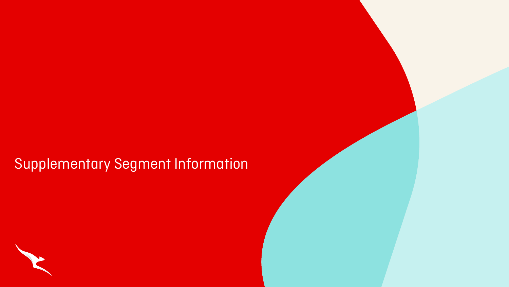# Supplementary Segment Information



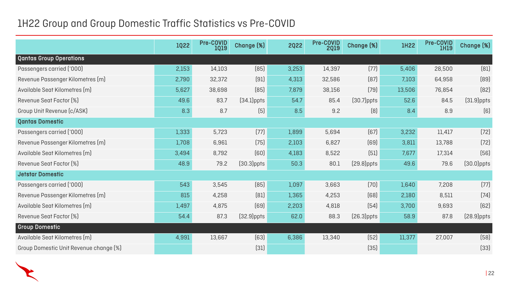## 1H22 Group and Group Domestic Traffic Statistics vs Pre-COVID

|                                        | 1Q22  | <b>Pre-COVID</b><br><b>1Q19</b> | Change (%)    | <b>2Q22</b> | <b>Pre-COVID</b><br><b>2Q19</b> | Change [%]    | <b>IH22</b> | Pre-COVID<br>1H19 | Change [%]    |
|----------------------------------------|-------|---------------------------------|---------------|-------------|---------------------------------|---------------|-------------|-------------------|---------------|
| <b>Qantas Group Operations</b>         |       |                                 |               |             |                                 |               |             |                   |               |
| Passengers carried ('000)              | 2,153 | 14,103                          | [85]          | 3,253       | 14,397                          | (77)          | 5,406       | 28,500            | [81]          |
| Revenue Passenger Kilometres (m)       | 2,790 | 32,372                          | (91)          | 4,313       | 32,586                          | [87]          | 7,103       | 64,958            | [89]          |
| Available Seat Kilometres (m)          | 5,627 | 38,698                          | [85]          | 7,879       | 38,156                          | $[79]$        | 13,506      | 76,854            | $[82]$        |
| Revenue Seat Factor [%]                | 49.6  | 83.7                            | $(34.1)$ ppts | 54.7        | 85.4                            | $(30.7)$ ppts | 52.6        | 84.5              | $(31.9)$ ppts |
| Group Unit Revenue (c/ASK)             | 8.3   | 8.7                             | (5)           | 8.5         | 9.2                             | [8]           | 8.4         | 8.9               | (6)           |
| <b>Qantas Domestic</b>                 |       |                                 |               |             |                                 |               |             |                   |               |
| Passengers carried ('000)              | 1,333 | 5,723                           | (77)          | 1,899       | 5,694                           | (67)          | 3,232       | 11,417            | (72)          |
| Revenue Passenger Kilometres (m)       | 1,708 | 6,961                           | $[75]$        | 2,103       | 6,827                           | [69]          | 3,811       | 13,788            | (72)          |
| Available Seat Kilometres (m)          | 3,494 | 8,792                           | [60]          | 4,183       | 8,522                           | (51)          | 7,677       | 17,314            | $[56]$        |
| Revenue Seat Factor [%]                | 48.9  | 79.2                            | $[30.3]$ ppts | 50.3        | 80.1                            | $(29.8)$ ppts | 49.6        | 79.6              | $(30.0)$ ppts |
| <b>Jetstar Domestic</b>                |       |                                 |               |             |                                 |               |             |                   |               |
| Passengers carried ('000)              | 543   | 3,545                           | (85)          | 1,097       | 3,663                           | (70)          | 1,640       | 7,208             | (77)          |
| Revenue Passenger Kilometres (m)       | 815   | 4,258                           | [81]          | 1,365       | 4,253                           | [68]          | 2,180       | 8,511             | (74)          |
| Available Seat Kilometres (m)          | 1,497 | 4,875                           | [69]          | 2,203       | 4,818                           | (54)          | 3,700       | 9,693             | [62]          |
| Revenue Seat Factor [%]                | 54.4  | 87.3                            | $(32.9)$ ppts | 62.0        | 88.3                            | $(26.3)$ ppts | 58.9        | 87.8              | $(28.9)$ ppts |
| <b>Group Domestic</b>                  |       |                                 |               |             |                                 |               |             |                   |               |
| Available Seat Kilometres (m)          | 4,991 | 13,667                          | $[63]$        | 6,386       | 13,340                          | $[52]$        | 11,377      | 27,007            | (58)          |
| Group Domestic Unit Revenue change [%] |       |                                 | $[31]$        |             |                                 | (35)          |             |                   | [33]          |

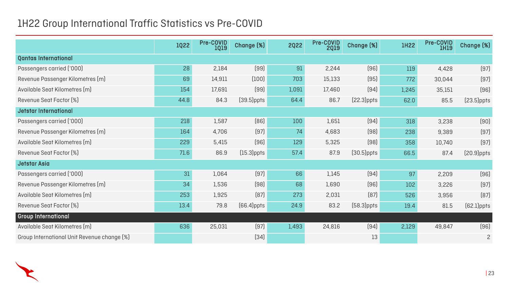## 1H22 Group International Traffic Statistics vs Pre-COVID

|                                             | 1022 | <b>Pre-COVID</b><br><b>1Q19</b> | Change [%]    | <b>2Q22</b> | Pre-COVID<br><b>2Q19</b> | Change [%]    | <b>IH22</b> | Pre-COVID<br>1H19 | Change [%]     |
|---------------------------------------------|------|---------------------------------|---------------|-------------|--------------------------|---------------|-------------|-------------------|----------------|
| <b>Qantas International</b>                 |      |                                 |               |             |                          |               |             |                   |                |
| Passengers carried ('000)                   | 28   | 2,184                           | (99)          | 91          | 2,244                    | (96)          | 119         | 4,428             | (97)           |
| Revenue Passenger Kilometres (m)            | 69   | 14,911                          | (100)         | 703         | 15,133                   | (95)          | 772         | 30,044            | (97)           |
| Available Seat Kilometres (m)               | 154  | 17,691                          | (99)          | 1,091       | 17,460                   | (94)          | 1,245       | 35,151            | (96)           |
| Revenue Seat Factor [%]                     | 44.8 | 84.3                            | $(39.5)$ ppts | 64.4        | 86.7                     | $[22.3]$ ppts | 62.0        | 85.5              | $(23.5)$ ppts  |
| Jetstar International                       |      |                                 |               |             |                          |               |             |                   |                |
| Passengers carried ('000)                   | 218  | 1,587                           | [86]          | 100         | 1,651                    | (94)          | 318         | 3,238             | (90)           |
| Revenue Passenger Kilometres (m)            | 164  | 4,706                           | (97)          | 74          | 4,683                    | $[98]$        | 238         | 9,389             | (97)           |
| Available Seat Kilometres (m)               | 229  | 5,415                           | (96)          | 129         | 5,325                    | $[98]$        | 358         | 10,740            | (97)           |
| Revenue Seat Factor [%]                     | 71.6 | 86.9                            | $(15.3)$ ppts | 57.4        | 87.9                     | $(30.5)$ ppts | 66.5        | 87.4              | $[20.9]$ ppts  |
| <b>Jetstar Asia</b>                         |      |                                 |               |             |                          |               |             |                   |                |
| Passengers carried ('000)                   | 31   | 1,064                           | $[97]$        | 66          | 1,145                    | (94)          | 97          | 2,209             | $[96]$         |
| Revenue Passenger Kilometres (m)            | 34   | 1,536                           | $[98]$        | 68          | 1,690                    | (96)          | 102         | 3,226             | (97)           |
| Available Seat Kilometres (m)               | 253  | 1,925                           | [87]          | 273         | 2,031                    | [87]          | 526         | 3,956             | [87]           |
| Revenue Seat Factor [%]                     | 13.4 | 79.8                            | $(66.4)$ ppts | 24.9        | 83.2                     | $(58.3)$ ppts | 19.4        | 81.5              | $(62.1)$ ppts  |
| <b>Group International</b>                  |      |                                 |               |             |                          |               |             |                   |                |
| Available Seat Kilometres (m)               | 636  | 25,031                          | (97)          | 1,493       | 24,816                   | $[94]$        | 2,129       | 49,847            | (96)           |
| Group International Unit Revenue change [%] |      |                                 | [34]          |             |                          | 13            |             |                   | $\overline{c}$ |

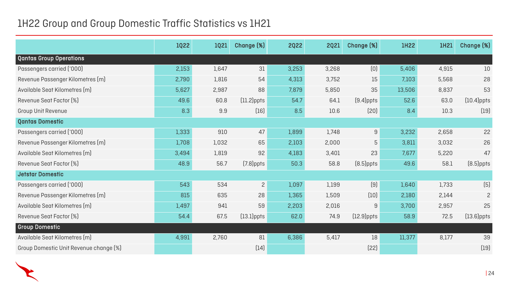## 1H22 Group and Group Domestic Traffic Statistics vs 1H21

|                                        | 1022  | <b>1Q21</b> | <b>Change [%]</b> | <b>2Q22</b> | <b>2Q21</b> | Change (%)    | <b>IH22</b> | 1H21  | Change [%]     |
|----------------------------------------|-------|-------------|-------------------|-------------|-------------|---------------|-------------|-------|----------------|
| <b>Qantas Group Operations</b>         |       |             |                   |             |             |               |             |       |                |
| Passengers carried ('000)              | 2,153 | 1,647       | 31                | 3,253       | 3,268       | [0]           | 5,406       | 4,915 | 10             |
| Revenue Passenger Kilometres (m)       | 2,790 | 1,816       | 54                | 4,313       | 3,752       | 15            | 7,103       | 5,568 | 28             |
| Available Seat Kilometres (m)          | 5,627 | 2,987       | 88                | 7,879       | 5,850       | 35            | 13,506      | 8,837 | 53             |
| Revenue Seat Factor [%]                | 49.6  | 60.8        | $[11.2]$ ppts     | 54.7        | 64.1        | $(9.4)$ ppts  | 52.6        | 63.0  | $[10.4]$ ppts  |
| <b>Group Unit Revenue</b>              | 8.3   | 9.9         | $[16]$            | 8.5         | 10.6        | (20)          | 8.4         | 10.3  | $[19]$         |
| <b>Qantas Domestic</b>                 |       |             |                   |             |             |               |             |       |                |
| Passengers carried ('000)              | 1,333 | 910         | 47                | 1,899       | 1,748       | 9             | 3,232       | 2,658 | 22             |
| Revenue Passenger Kilometres (m)       | 1,708 | 1,032       | 65                | 2,103       | 2,000       | 5             | 3,811       | 3,032 | 26             |
| Available Seat Kilometres (m)          | 3,494 | 1,819       | 92                | 4,183       | 3,401       | 23            | 7,677       | 5,220 | 47             |
| Revenue Seat Factor [%]                | 48.9  | 56.7        | $(7.8)$ ppts      | 50.3        | 58.8        | $(8.5)$ ppts  | 49.6        | 58.1  | $(8.5)$ ppts   |
| <b>Jetstar Domestic</b>                |       |             |                   |             |             |               |             |       |                |
| Passengers carried ('000)              | 543   | 534         | $\overline{2}$    | 1,097       | 1,199       | (9)           | 1,640       | 1,733 | (5)            |
| Revenue Passenger Kilometres (m)       | 815   | 635         | 28                | 1,365       | 1,509       | $[10]$        | 2,180       | 2,144 | $\overline{2}$ |
| Available Seat Kilometres (m)          | 1,497 | 941         | 59                | 2,203       | 2,016       | 9             | 3,700       | 2,957 | 25             |
| Revenue Seat Factor [%]                | 54.4  | 67.5        | $(13.1)$ ppts     | 62.0        | 74.9        | $[12.9]$ ppts | 58.9        | 72.5  | $[13.6]$ ppts  |
| <b>Group Domestic</b>                  |       |             |                   |             |             |               |             |       |                |
| Available Seat Kilometres (m)          | 4,991 | 2,760       | 81                | 6,386       | 5,417       | 18            | 11,377      | 8,177 | 39             |
| Group Domestic Unit Revenue change [%] |       |             | (14)              |             |             | [22]          |             |       | $[19]$         |

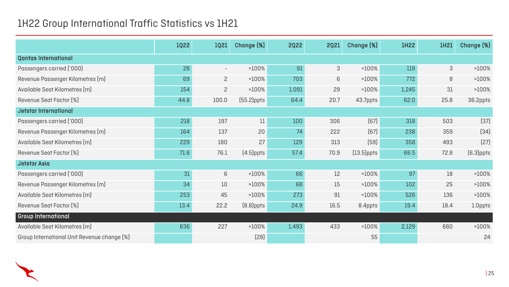## 1H22 Group International Traffic Statistics vs 1H21

|                                             | 1022 | <b>1Q21</b>              | Change (%)    | <b>2Q22</b> | <b>2Q21</b> | Change (%)    | <b>1H22</b> | 1H21 | Change [%]   |
|---------------------------------------------|------|--------------------------|---------------|-------------|-------------|---------------|-------------|------|--------------|
| <b>Qantas International</b>                 |      |                          |               |             |             |               |             |      |              |
| Passengers carried ('000)                   | 28   | $\overline{\phantom{a}}$ | >100%         | 91          | 3           | >100%         | 119         | 3    | >100%        |
| Revenue Passenger Kilometres (m)            | 69   | $\overline{2}$           | $>100\%$      | 703         | 6           | $>100\%$      | 772         | 8    | >100%        |
| Available Seat Kilometres (m)               | 154  | $\overline{2}$           | $>100\%$      | 1,091       | 29          | $>100\%$      | 1,245       | 31   | >100%        |
| Revenue Seat Factor [%]                     | 44.8 | 100.0                    | $(55.2)$ ppts | 64.4        | 20.7        | 43.7ppts      | 62.0        | 25.8 | 36.2ppts     |
| Jetstar International                       |      |                          |               |             |             |               |             |      |              |
| Passengers carried ('000)                   | 218  | 197                      | 11            | 100         | 306         | $[67]$        | 318         | 503  | (37)         |
| Revenue Passenger Kilometres (m)            | 164  | 137                      | 20            | 74          | 222         | $(67)$        | 238         | 359  | $[34]$       |
| Available Seat Kilometres (m)               | 229  | 180                      | 27            | 129         | 313         | $[59]$        | 358         | 493  | [27]         |
| Revenue Seat Factor [%]                     | 71.6 | 76.1                     | $(4.5)$ ppts  | 57.4        | 70.9        | $[13.5]$ ppts | 66.5        | 72.8 | $(6.3)$ ppts |
| <b>Jetstar Asia</b>                         |      |                          |               |             |             |               |             |      |              |
| Passengers carried ('000)                   | 31   | 6                        | >100%         | 66          | 12          | $>100\%$      | 97          | 18   | >100%        |
| Revenue Passenger Kilometres (m)            | 34   | 10                       | >100%         | 68          | 15          | $>100\%$      | 102         | 25   | >100%        |
| Available Seat Kilometres (m)               | 253  | 45                       | >100%         | 273         | 91          | $>100\%$      | 526         | 136  | >100%        |
| Revenue Seat Factor [%]                     | 13.4 | 22.2                     | $(8.8)$ ppts  | 24.9        | 16.5        | 8.4ppts       | 19.4        | 18.4 | 1.0ppts      |
| Group International                         |      |                          |               |             |             |               |             |      |              |
| Available Seat Kilometres (m)               | 636  | 227                      | $>100\%$      | 1,493       | 433         | $>100\%$      | 2,129       | 660  | >100%        |
| Group International Unit Revenue change [%] |      |                          | [28]          |             |             | 55            |             |      | 24           |

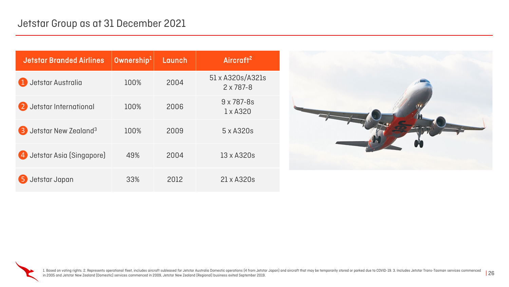1. Based on voting rights. 2. Represents operational fleet, includes aircraft subleased for Jetstar Australia Domestic operations (4 from Jetstar Japan) and aircraft that may be temporarily stored or parked due to COVID-19 in 2005 and Jetstar New Zealand (Domestic) services commenced in 2009, Jetstar New Zealand (Regional) business exited September 2019.

| <b>Jetstar Branded Airlines</b>                    | $0$ wnership $1$ | Launch | Aircraft <sup>2</sup>                  |
|----------------------------------------------------|------------------|--------|----------------------------------------|
| Jetstar Australia                                  | 100%             | 2004   | 51 x A320s/A321s<br>$2 \times 787 - 8$ |
| Jetstar International                              | 100%             | 2006   | $9 \times 787 - 8s$<br>$1 \times$ A320 |
| Jetstar New Zealand <sup>3</sup><br>$\overline{3}$ | 100%             | 2009   | 5 x A320s                              |
| 4 Jetstar Asia (Singapore)                         | 49%              | 2004   | 13 x A320s                             |
| Jetstar Japan<br>5                                 | 33%              | 2012   | 21 x A320s                             |



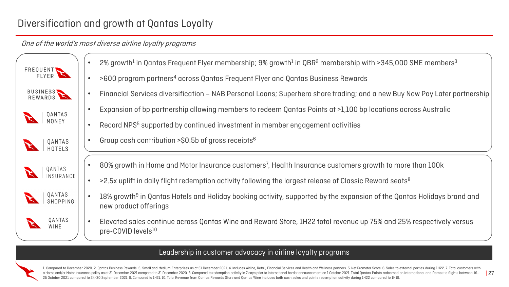1. Compared to December 2020. 2. Qantas Business Rewards. 3. Small and Medium Enterprises as at 31 December 2021. 4. Includes Airline, Retail, Financial Services and Health and Wellness partners. 5. Net Promoter Score. 6. a Home and/or Motor insurance policy as at 31 December 2021 compared to 31 December 2020. 8. Compared to redemption activity in 7 days prior to International border announcement on 1 October 2021. Total Qantas Points redee 25 October 2021 compared to 24-30 September 2021. 9. Compared to 1H21. 10. Total Revenue from Qantas Rewards Store and Qantas Wine includes both cash sales and points redemption activity during 1H22 compared to 1H19.

- 
- 
- 
- 
- 

- 
- 
- 
- 

## Diversification and growth at Qantas Loyalty

## One of the world's most diverse airline loyalty programs

### Leadership in customer advocacy in airline loyalty programs



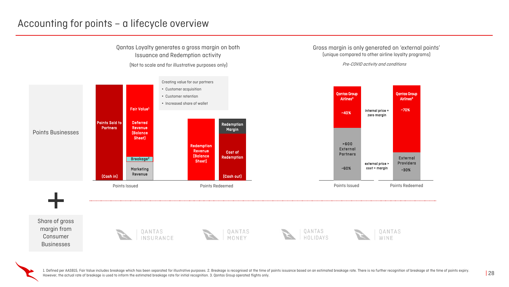1. Defined per AASB15, Fair Value includes breakage which has been separated for illustrative purposes. 2. Breakage is recognised at the time of points issuance based on an estimated breakage rate. There is no further reco However, the actual rate of breakage is used to inform the estimated breakage rate for initial recognition. 3. Qantas Group operated flights only.

## Accounting for points – a lifecycle overview

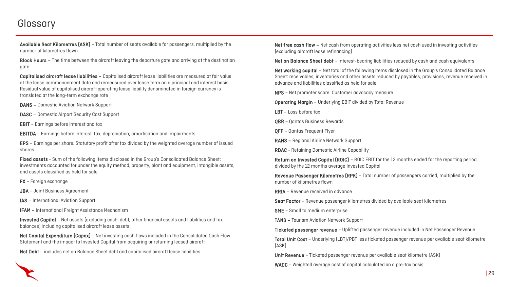## **Glossary**

Available Seat Kilometres (ASK) – Total number of seats available for passengers, multiplied by the number of kilometres flown

Block Hours – The time between the aircraft leaving the departure gate and arriving at the destination gate

Capitalised aircraft lease liabilities – Capitalised aircraft lease liabilities are measured at fair value at the lease commencement date and remeasured over lease term on a principal and interest basis. Residual value of capitalised aircraft operating lease liability denominated in foreign currency is translated at the long-term exchange rate

DANS – Domestic Aviation Network Support

DASC – Domestic Airport Security Cost Support

EBIT – Earnings before interest and tax

EBITDA – Earnings before interest, tax, depreciation, amortisation and impairments

EPS – Earnings per share. Statutory profit after tax divided by the weighted average number of issued shares

Net free cash flow – Net cash from operating activities less net cash used in investing activities (excluding aircraft lease refinancing)

Net on Balance Sheet debt - Interest-bearing liabilities reduced by cash and cash equivalents

Fixed assets - Sum of the following items disclosed in the Group's Consolidated Balance Sheet: investments accounted for under the equity method, property, plant and equipment, intangible assets, and assets classified as held for sale

FX – Foreign exchange

JBA – Joint Business Agreement

IAS – International Aviation Support

IFAM – International Freight Assistance Mechanism

Invested Capital – Net assets (excluding cash, debt, other financial assets and liabilities and tax balances) including capitalised aircraft lease assets

Net Capital Expenditure (Capex) – Net investing cash flows included in the Consolidated Cash Flow Statement and the impact to Invested Capital from acquiring or returning leased aircraft

Net Debt – includes net on Balance Sheet debt and capitalised aircraft lease liabilities

Net working capital – Net total of the following items disclosed in the Group's Consolidated Balance Sheet: receivables, inventories and other assets reduced by payables, provisions, revenue received in advance and liabilities classified as held for sale

NPS – Net promoter score. Customer advocacy measure

Operating Margin – Underlying EBIT divided by Total Revenue

LBT – Loss before tax

QBR – Qantas Business Rewards

QFF – Qantas Frequent Flyer

RANS – Regional Airline Network Support

RDAC - Retaining Domestic Airline Capability

Return on Invested Capital (ROIC) – ROIC EBIT for the 12 months ended for the reporting period, divided by the 12 months average Invested Capital

Revenue Passenger Kilometres (RPK) – Total number of passengers carried, multiplied by the

number of kilometres flown

RRIA – Revenue received in advance

Seat Factor – Revenue passenger kilometres divided by available seat kilometres

SME – Small to medium enterprise

TANS – Tourism Aviation Network Support

Ticketed passenger revenue – Uplifted passenger revenue included in Net Passenger Revenue

Total Unit Cost – Underlying (LBT)/PBT less ticketed passenger revenue per available seat kilometre (ASK)

Unit Revenue – Ticketed passenger revenue per available seat kilometre (ASK)

WACC - Weighted average cost of capital calculated on a pre-tax basis